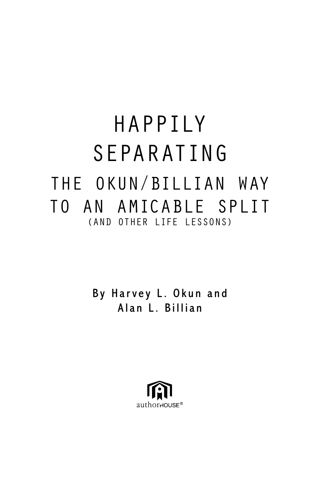# HAPPILY SEPARATING THE OKUN/BILLIAN WAY TO AN AMICABLE SPLIT (AND OTHER LIFE LESSONS)

By Harvey L. Okun and Alan L. Billian

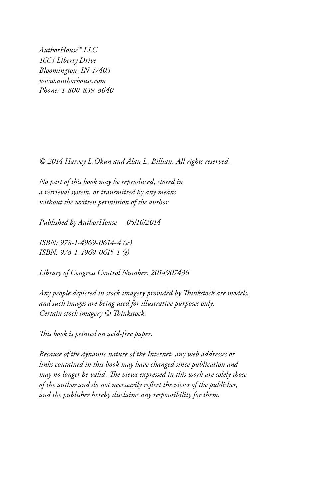*AuthorHouse™ LLC 1663 Liberty Drive Bloomington, IN 47403 www.authorhouse.com Phone: 1-800-839-8640*

*© 2014 Harvey L.Okun and Alan L. Billian. All rights reserved.*

*No part of this book may be reproduced, stored in a retrieval system, or transmitted by any means without the written permission of the author.*

*Published by AuthorHouse 05/16/2014*

*ISBN: 978-1-4969-0614-4 (sc) ISBN: 978-1-4969-0615-1 (e)*

*Library of Congress Control Number: 2014907436*

*Any people depicted in stock imagery provided by Thinkstock are models, and such images are being used for illustrative purposes only. Certain stock imagery © Thinkstock.*

*This book is printed on acid-free paper.*

*Because of the dynamic nature of the Internet, any web addresses or links contained in this book may have changed since publication and may no longer be valid. The views expressed in this work are solely those of the author and do not necessarily reflect the views of the publisher, and the publisher hereby disclaims any responsibility for them.*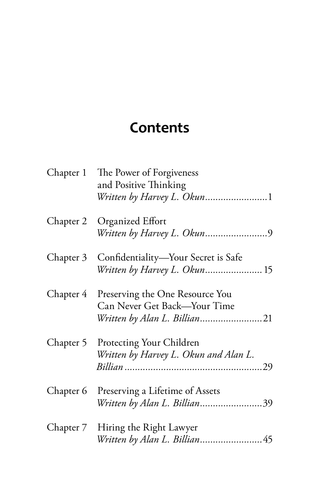## **Contents**

|           | Chapter 1 The Power of Forgiveness<br>and Positive Thinking<br>Written by Harvey L. Okun1                 |
|-----------|-----------------------------------------------------------------------------------------------------------|
| Chapter 2 | Organized Effort<br>Written by Harvey L. Okun9                                                            |
|           | Chapter 3 Confidentiality—Your Secret is Safe<br>Written by Harvey L. Okun 15                             |
|           | Chapter 4 Preserving the One Resource You<br>Can Never Get Back—Your Time<br>Written by Alan L. Billian21 |
| Chapter 5 | Protecting Your Children<br>Written by Harvey L. Okun and Alan L.                                         |
| Chapter 6 | Preserving a Lifetime of Assets<br>Written by Alan L. Billian39                                           |
|           | Chapter 7 Hiring the Right Lawyer                                                                         |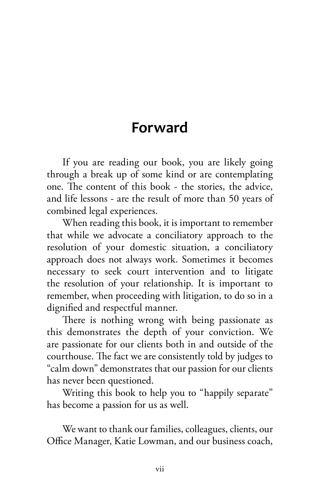### **Forward**

If you are reading our book, you are likely going through a break up of some kind or are contemplating one. The content of this book - the stories, the advice, and life lessons - are the result of more than 50 years of combined legal experiences.

When reading this book, it is important to remember that while we advocate a conciliatory approach to the resolution of your domestic situation, a conciliatory approach does not always work. Sometimes it becomes necessary to seek court intervention and to litigate the resolution of your relationship. It is important to remember, when proceeding with litigation, to do so in a dignified and respectful manner.

There is nothing wrong with being passionate as this demonstrates the depth of your conviction. We are passionate for our clients both in and outside of the courthouse. The fact we are consistently told by judges to "calm down" demonstrates that our passion for our clients has never been questioned.

Writing this book to help you to "happily separate" has become a passion for us as well.

We want to thank our families, colleagues, clients, our Office Manager, Katie Lowman, and our business coach,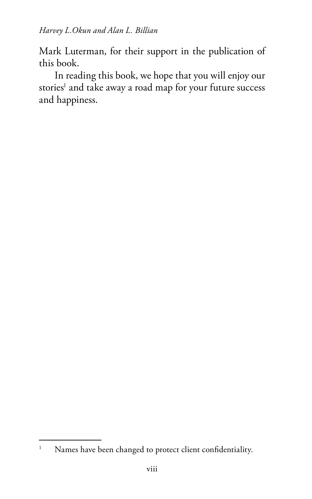Mark Luterman, for their support in the publication of this book.

In reading this book, we hope that you will enjoy our stories<sup>1</sup> and take away a road map for your future success and happiness.

<sup>&</sup>lt;sup>1</sup> Names have been changed to protect client confidentiality.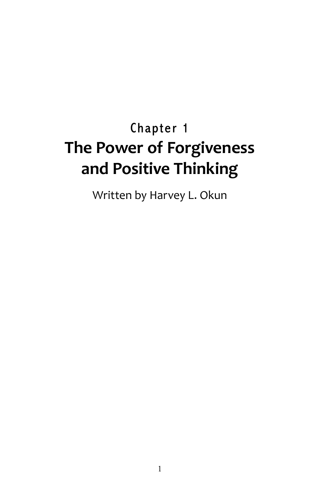## Chapter 1 **The Power of Forgiveness and Positive Thinking**

Written by Harvey L. Okun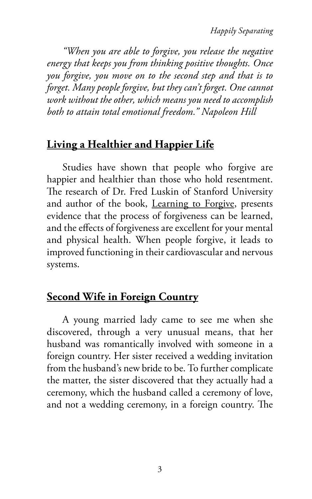*"When you are able to forgive, you release the negative energy that keeps you from thinking positive thoughts. Once you forgive, you move on to the second step and that is to forget. Many people forgive, but they can't forget. One cannot work without the other, which means you need to accomplish both to attain total emotional freedom." Napoleon Hill*

#### **Living a Healthier and Happier Life**

Studies have shown that people who forgive are happier and healthier than those who hold resentment. The research of Dr. Fred Luskin of Stanford University and author of the book, Learning to Forgive, presents evidence that the process of forgiveness can be learned, and the effects of forgiveness are excellent for your mental and physical health. When people forgive, it leads to improved functioning in their cardiovascular and nervous systems.

#### **Second Wife in Foreign Country**

A young married lady came to see me when she discovered, through a very unusual means, that her husband was romantically involved with someone in a foreign country. Her sister received a wedding invitation from the husband's new bride to be. To further complicate the matter, the sister discovered that they actually had a ceremony, which the husband called a ceremony of love, and not a wedding ceremony, in a foreign country. The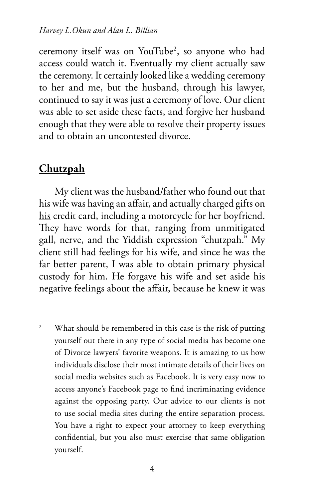ceremony itself was on YouTube2 , so anyone who had access could watch it. Eventually my client actually saw the ceremony. It certainly looked like a wedding ceremony to her and me, but the husband, through his lawyer, continued to say it was just a ceremony of love. Our client was able to set aside these facts, and forgive her husband enough that they were able to resolve their property issues and to obtain an uncontested divorce.

#### **Chutzpah**

My client was the husband/father who found out that his wife was having an affair, and actually charged gifts on his credit card, including a motorcycle for her boyfriend. They have words for that, ranging from unmitigated gall, nerve, and the Yiddish expression "chutzpah." My client still had feelings for his wife, and since he was the far better parent, I was able to obtain primary physical custody for him. He forgave his wife and set aside his negative feelings about the affair, because he knew it was

<sup>&</sup>lt;sup>2</sup> What should be remembered in this case is the risk of putting yourself out there in any type of social media has become one of Divorce lawyers' favorite weapons. It is amazing to us how individuals disclose their most intimate details of their lives on social media websites such as Facebook. It is very easy now to access anyone's Facebook page to find incriminating evidence against the opposing party. Our advice to our clients is not to use social media sites during the entire separation process. You have a right to expect your attorney to keep everything confidential, but you also must exercise that same obligation yourself.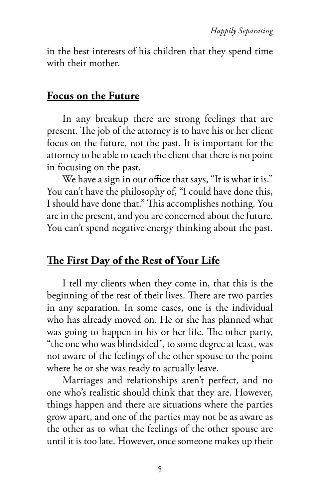in the best interests of his children that they spend time with their mother.

#### **Focus on the Future**

In any breakup there are strong feelings that are present. The job of the attorney is to have his or her client focus on the future, not the past. It is important for the attorney to be able to teach the client that there is no point in focusing on the past.

We have a sign in our office that says, "It is what it is." You can't have the philosophy of, "I could have done this, I should have done that." This accomplishes nothing. You are in the present, and you are concerned about the future. You can't spend negative energy thinking about the past.

#### **The First Day of the Rest of Your Life**

I tell my clients when they come in, that this is the beginning of the rest of their lives. There are two parties in any separation. In some cases, one is the individual who has already moved on. He or she has planned what was going to happen in his or her life. The other party, "the one who was blindsided", to some degree at least, was not aware of the feelings of the other spouse to the point where he or she was ready to actually leave.

Marriages and relationships aren't perfect, and no one who's realistic should think that they are. However, things happen and there are situations where the parties grow apart, and one of the parties may not be as aware as the other as to what the feelings of the other spouse are until it is too late. However, once someone makes up their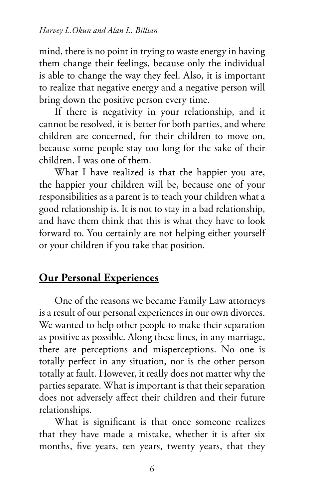mind, there is no point in trying to waste energy in having them change their feelings, because only the individual is able to change the way they feel. Also, it is important to realize that negative energy and a negative person will bring down the positive person every time.

If there is negativity in your relationship, and it cannot be resolved, it is better for both parties, and where children are concerned, for their children to move on, because some people stay too long for the sake of their children. I was one of them.

What I have realized is that the happier you are, the happier your children will be, because one of your responsibilities as a parent is to teach your children what a good relationship is. It is not to stay in a bad relationship, and have them think that this is what they have to look forward to. You certainly are not helping either yourself or your children if you take that position.

#### **Our Personal Experiences**

One of the reasons we became Family Law attorneys is a result of our personal experiences in our own divorces. We wanted to help other people to make their separation as positive as possible. Along these lines, in any marriage, there are perceptions and misperceptions. No one is totally perfect in any situation, nor is the other person totally at fault. However, it really does not matter why the parties separate. What is important is that their separation does not adversely affect their children and their future relationships.

What is significant is that once someone realizes that they have made a mistake, whether it is after six months, five years, ten years, twenty years, that they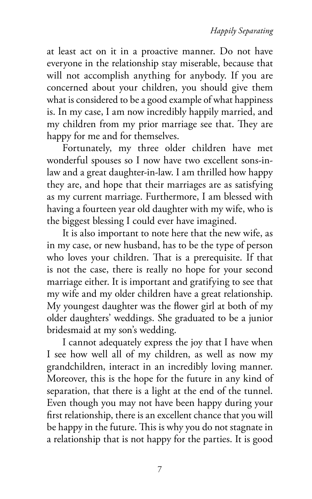at least act on it in a proactive manner. Do not have everyone in the relationship stay miserable, because that will not accomplish anything for anybody. If you are concerned about your children, you should give them what is considered to be a good example of what happiness is. In my case, I am now incredibly happily married, and my children from my prior marriage see that. They are happy for me and for themselves.

Fortunately, my three older children have met wonderful spouses so I now have two excellent sons-inlaw and a great daughter-in-law. I am thrilled how happy they are, and hope that their marriages are as satisfying as my current marriage. Furthermore, I am blessed with having a fourteen year old daughter with my wife, who is the biggest blessing I could ever have imagined.

It is also important to note here that the new wife, as in my case, or new husband, has to be the type of person who loves your children. That is a prerequisite. If that is not the case, there is really no hope for your second marriage either. It is important and gratifying to see that my wife and my older children have a great relationship. My youngest daughter was the flower girl at both of my older daughters' weddings. She graduated to be a junior bridesmaid at my son's wedding.

I cannot adequately express the joy that I have when I see how well all of my children, as well as now my grandchildren, interact in an incredibly loving manner. Moreover, this is the hope for the future in any kind of separation, that there is a light at the end of the tunnel. Even though you may not have been happy during your first relationship, there is an excellent chance that you will be happy in the future. This is why you do not stagnate in a relationship that is not happy for the parties. It is good